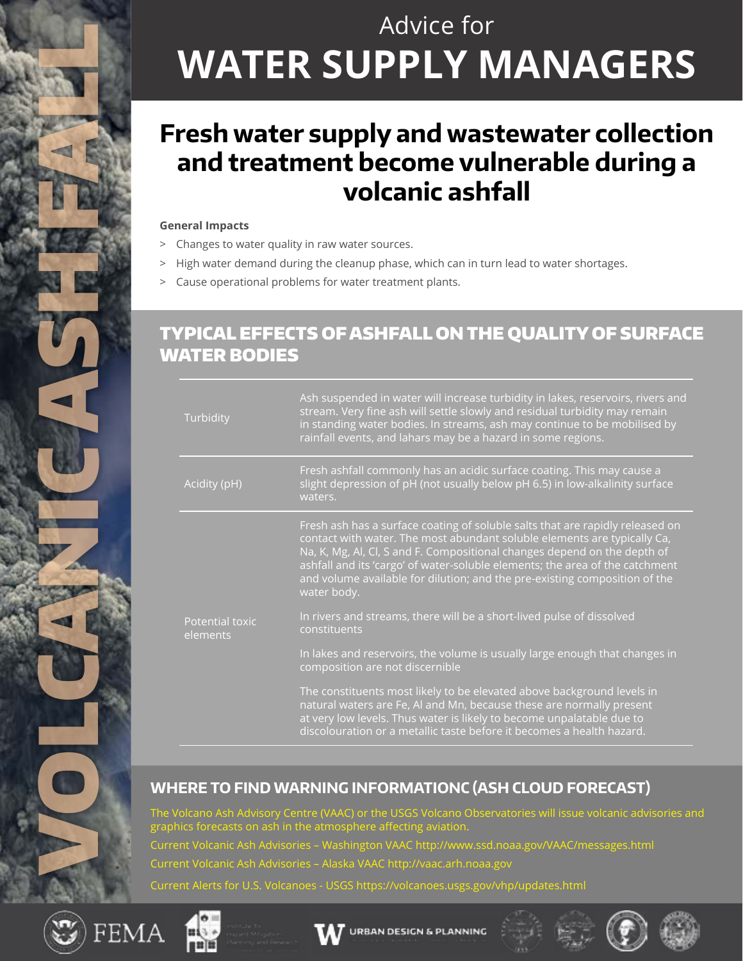# Advice for **WATER SUPPLY MANAGERS**

### **Fresh water supply and wastewater collection and treatment become vulnerable during a volcanic ashfall**

#### **General Impacts**

- > Changes to water quality in raw water sources.
- > High water demand during the cleanup phase, which can in turn lead to water shortages.
- > Cause operational problems for water treatment plants.

#### TYPICAL EFFECTS OF ASHFALL ON THE QUALITY OF SURFACE WATER BODIES

| Turbidity                   | Ash suspended in water will increase turbidity in lakes, reservoirs, rivers and<br>stream. Very fine ash will settle slowly and residual turbidity may remain<br>in standing water bodies. In streams, ash may continue to be mobilised by<br>rainfall events, and lahars may be a hazard in some regions.                                                                                                         |
|-----------------------------|--------------------------------------------------------------------------------------------------------------------------------------------------------------------------------------------------------------------------------------------------------------------------------------------------------------------------------------------------------------------------------------------------------------------|
| Acidity (pH)                | Fresh ashfall commonly has an acidic surface coating. This may cause a<br>slight depression of pH (not usually below pH 6.5) in low-alkalinity surface<br>waters.                                                                                                                                                                                                                                                  |
| Potential toxic<br>elements | Fresh ash has a surface coating of soluble salts that are rapidly released on<br>contact with water. The most abundant soluble elements are typically Ca,<br>Na, K, Mg, Al, Cl, S and F. Compositional changes depend on the depth of<br>ashfall and its 'cargo' of water-soluble elements; the area of the catchment<br>and volume available for dilution; and the pre-existing composition of the<br>water body. |
|                             | In rivers and streams, there will be a short-lived pulse of dissolved<br>constituents                                                                                                                                                                                                                                                                                                                              |
|                             | In lakes and reservoirs, the volume is usually large enough that changes in<br>composition are not discernible                                                                                                                                                                                                                                                                                                     |
|                             | The constituents most likely to be elevated above background levels in<br>natural waters are Fe, Al and Mn, because these are normally present<br>at very low levels. Thus water is likely to become unpalatable due to<br>discolouration or a metallic taste before it becomes a health hazard.                                                                                                                   |

#### **WHERE TO FIND WARNING INFORMATIONC (ASH CLOUD FORECAST)**

The Volcano Ash Advisory Centre (VAAC) or the USGS Volcano Observatories will issue volcanic advisories and graphics forecasts on ash in the atmosphere affecting aviation. Current Volcanic Ash Advisories – Washington VAAC http://www.ssd.noaa.gov/VAAC/messages.html Current Volcanic Ash Advisories – Alaska VAAC http://vaac.arh.noaa.gov Current Alerts for U.S. Volcanoes - USGS https://volcanoes.usgs.gov/vhp/updates.html



VOLCANICASH FAN 2